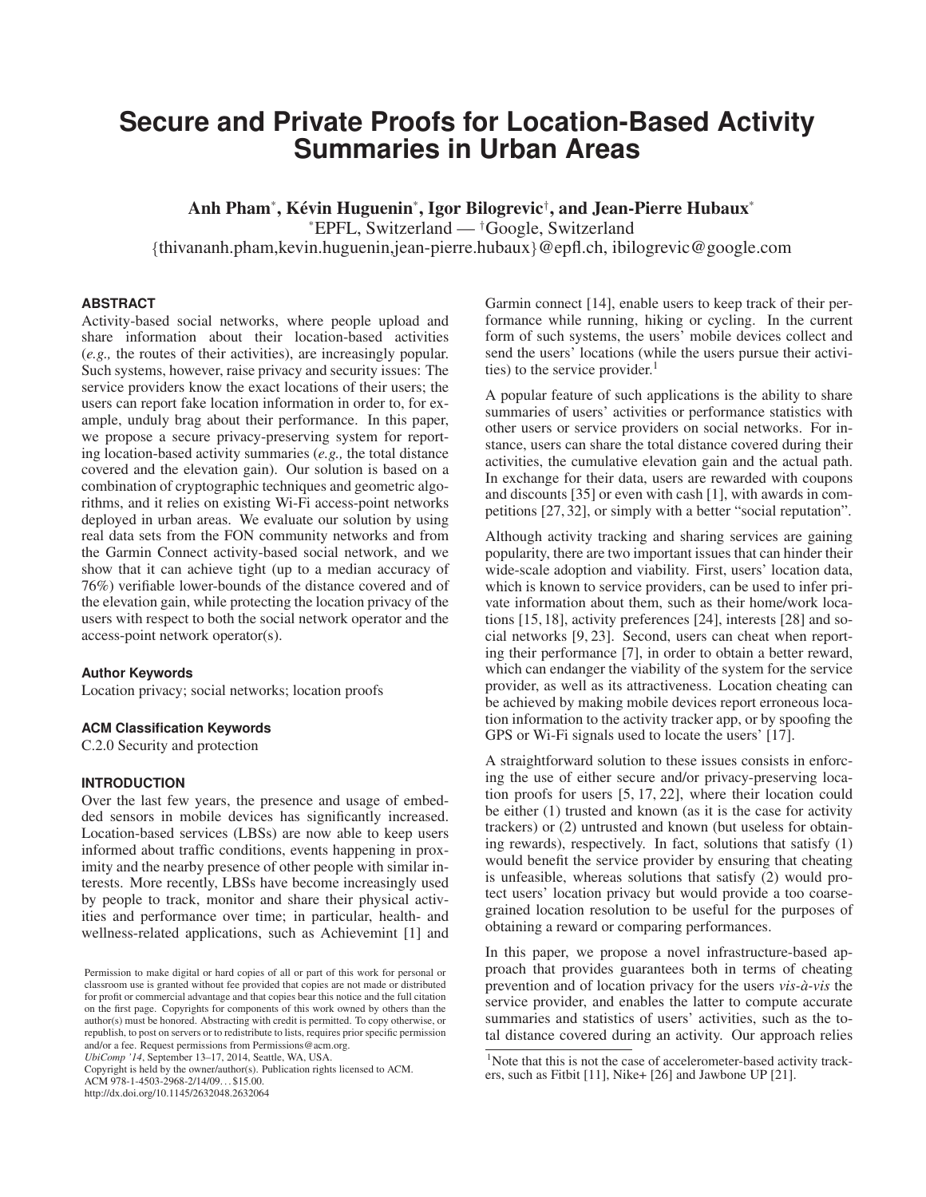# **Secure and Private Proofs for Location-Based Activity Summaries in Urban Areas**

Anh Pham<sup>\*</sup>, Kévin Huguenin<sup>\*</sup>, Igor Bilogrevic<sup>†</sup>, and Jean-Pierre Hubaux<sup>\*</sup>

\*EPFL, Switzerland — †Google, Switzerland

{thivananh.pham,kevin.huguenin,jean-pierre.hubaux}@epfl.ch, ibilogrevic@google.com

# **ABSTRACT**

Activity-based social networks, where people upload and share information about their location-based activities (*e.g.,* the routes of their activities), are increasingly popular. Such systems, however, raise privacy and security issues: The service providers know the exact locations of their users; the users can report fake location information in order to, for example, unduly brag about their performance. In this paper, we propose a secure privacy-preserving system for reporting location-based activity summaries (*e.g.,* the total distance covered and the elevation gain). Our solution is based on a combination of cryptographic techniques and geometric algorithms, and it relies on existing Wi-Fi access-point networks deployed in urban areas. We evaluate our solution by using real data sets from the FON community networks and from the Garmin Connect activity-based social network, and we show that it can achieve tight (up to a median accuracy of 76%) verifiable lower-bounds of the distance covered and of the elevation gain, while protecting the location privacy of the users with respect to both the social network operator and the access-point network operator(s).

# **Author Keywords**

Location privacy; social networks; location proofs

# **ACM Classification Keywords**

C.2.0 Security and protection

# **INTRODUCTION**

Over the last few years, the presence and usage of embedded sensors in mobile devices has significantly increased. Location-based services (LBSs) are now able to keep users informed about traffic conditions, events happening in proximity and the nearby presence of other people with similar interests. More recently, LBSs have become increasingly used by people to track, monitor and share their physical activities and performance over time; in particular, health- and wellness-related applications, such as Achievemint [1] and

*UbiComp '14*, September 13–17, 2014, Seattle, WA, USA. Copyright is held by the owner/author(s). Publication rights licensed to ACM.

http://dx.doi.org/10.1145/2632048.2632064

Garmin connect [14], enable users to keep track of their performance while running, hiking or cycling. In the current form of such systems, the users' mobile devices collect and send the users' locations (while the users pursue their activities) to the service provider. $<sup>1</sup>$ </sup>

A popular feature of such applications is the ability to share summaries of users' activities or performance statistics with other users or service providers on social networks. For instance, users can share the total distance covered during their activities, the cumulative elevation gain and the actual path. In exchange for their data, users are rewarded with coupons and discounts [35] or even with cash [1], with awards in competitions [27, 32], or simply with a better "social reputation".

Although activity tracking and sharing services are gaining popularity, there are two important issues that can hinder their wide-scale adoption and viability. First, users' location data, which is known to service providers, can be used to infer private information about them, such as their home/work locations [15, 18], activity preferences [24], interests [28] and social networks [9, 23]. Second, users can cheat when reporting their performance [7], in order to obtain a better reward, which can endanger the viability of the system for the service provider, as well as its attractiveness. Location cheating can be achieved by making mobile devices report erroneous location information to the activity tracker app, or by spoofing the GPS or Wi-Fi signals used to locate the users' [17].

A straightforward solution to these issues consists in enforcing the use of either secure and/or privacy-preserving location proofs for users [5, 17, 22], where their location could be either (1) trusted and known (as it is the case for activity trackers) or (2) untrusted and known (but useless for obtaining rewards), respectively. In fact, solutions that satisfy (1) would benefit the service provider by ensuring that cheating is unfeasible, whereas solutions that satisfy (2) would protect users' location privacy but would provide a too coarsegrained location resolution to be useful for the purposes of obtaining a reward or comparing performances.

In this paper, we propose a novel infrastructure-based approach that provides guarantees both in terms of cheating prevention and of location privacy for the users *vis-a-vis `* the service provider, and enables the latter to compute accurate summaries and statistics of users' activities, such as the total distance covered during an activity. Our approach relies

Permission to make digital or hard copies of all or part of this work for personal or classroom use is granted without fee provided that copies are not made or distributed for profit or commercial advantage and that copies bear this notice and the full citation on the first page. Copyrights for components of this work owned by others than the author(s) must be honored. Abstracting with credit is permitted. To copy otherwise, or republish, to post on servers or to redistribute to lists, requires prior specific permission and/or a fee. Request permissions from Permissions@acm.org.

ACM 978-1-4503-2968-2/14/09. . . \$15.00.

<sup>&</sup>lt;sup>1</sup>Note that this is not the case of accelerometer-based activity trackers, such as Fitbit [11], Nike+ [26] and Jawbone UP [21].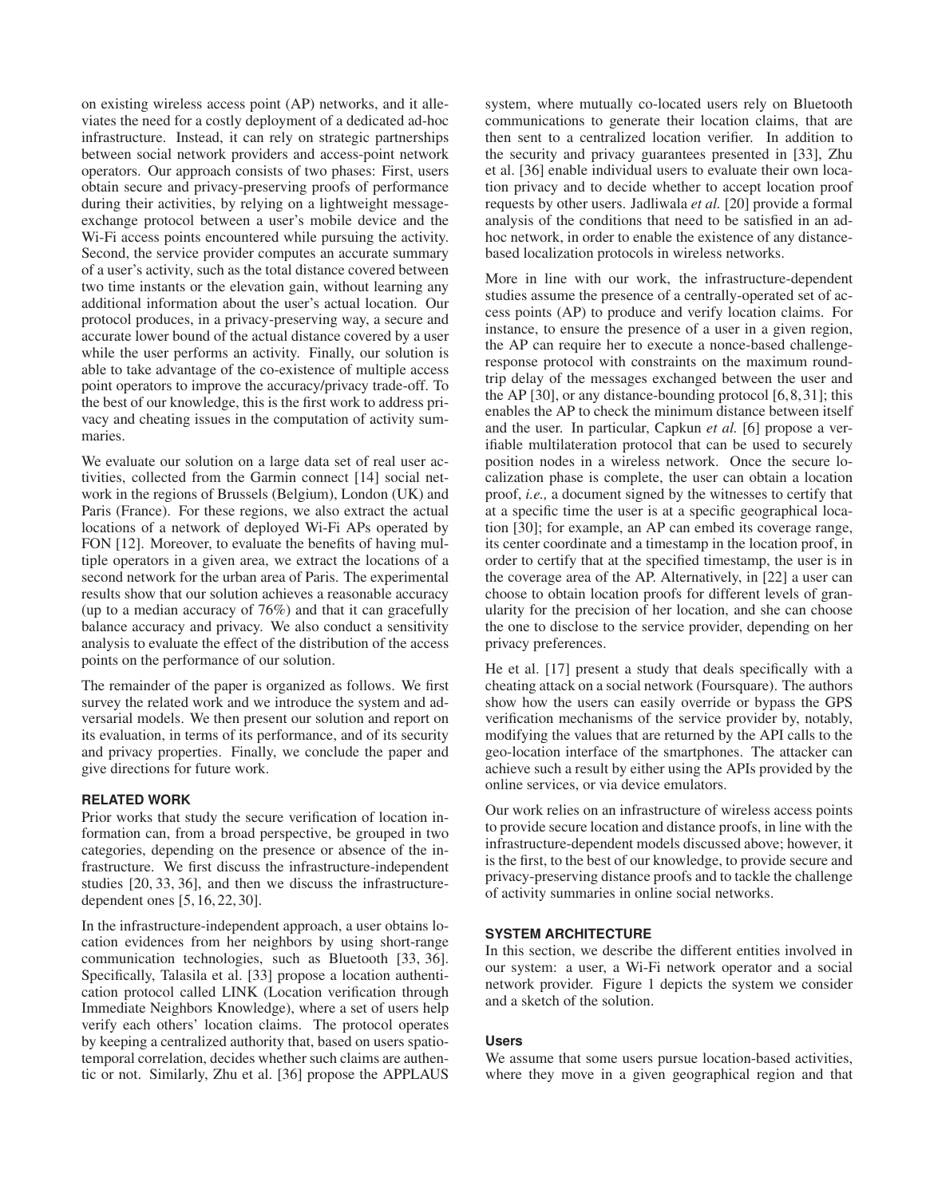on existing wireless access point (AP) networks, and it alleviates the need for a costly deployment of a dedicated ad-hoc infrastructure. Instead, it can rely on strategic partnerships between social network providers and access-point network operators. Our approach consists of two phases: First, users obtain secure and privacy-preserving proofs of performance during their activities, by relying on a lightweight messageexchange protocol between a user's mobile device and the Wi-Fi access points encountered while pursuing the activity. Second, the service provider computes an accurate summary of a user's activity, such as the total distance covered between two time instants or the elevation gain, without learning any additional information about the user's actual location. Our protocol produces, in a privacy-preserving way, a secure and accurate lower bound of the actual distance covered by a user while the user performs an activity. Finally, our solution is able to take advantage of the co-existence of multiple access point operators to improve the accuracy/privacy trade-off. To the best of our knowledge, this is the first work to address privacy and cheating issues in the computation of activity summaries.

We evaluate our solution on a large data set of real user activities, collected from the Garmin connect [14] social network in the regions of Brussels (Belgium), London (UK) and Paris (France). For these regions, we also extract the actual locations of a network of deployed Wi-Fi APs operated by FON [12]. Moreover, to evaluate the benefits of having multiple operators in a given area, we extract the locations of a second network for the urban area of Paris. The experimental results show that our solution achieves a reasonable accuracy (up to a median accuracy of 76%) and that it can gracefully balance accuracy and privacy. We also conduct a sensitivity analysis to evaluate the effect of the distribution of the access points on the performance of our solution.

The remainder of the paper is organized as follows. We first survey the related work and we introduce the system and adversarial models. We then present our solution and report on its evaluation, in terms of its performance, and of its security and privacy properties. Finally, we conclude the paper and give directions for future work.

# **RELATED WORK**

Prior works that study the secure verification of location information can, from a broad perspective, be grouped in two categories, depending on the presence or absence of the infrastructure. We first discuss the infrastructure-independent studies [20, 33, 36], and then we discuss the infrastructuredependent ones [5, 16, 22, 30].

In the infrastructure-independent approach, a user obtains location evidences from her neighbors by using short-range communication technologies, such as Bluetooth [33, 36]. Specifically, Talasila et al. [33] propose a location authentication protocol called LINK (Location verification through Immediate Neighbors Knowledge), where a set of users help verify each others' location claims. The protocol operates by keeping a centralized authority that, based on users spatiotemporal correlation, decides whether such claims are authentic or not. Similarly, Zhu et al. [36] propose the APPLAUS

system, where mutually co-located users rely on Bluetooth communications to generate their location claims, that are then sent to a centralized location verifier. In addition to the security and privacy guarantees presented in [33], Zhu et al. [36] enable individual users to evaluate their own location privacy and to decide whether to accept location proof requests by other users. Jadliwala *et al.* [20] provide a formal analysis of the conditions that need to be satisfied in an adhoc network, in order to enable the existence of any distancebased localization protocols in wireless networks.

More in line with our work, the infrastructure-dependent studies assume the presence of a centrally-operated set of access points (AP) to produce and verify location claims. For instance, to ensure the presence of a user in a given region, the AP can require her to execute a nonce-based challengeresponse protocol with constraints on the maximum roundtrip delay of the messages exchanged between the user and the AP  $[30]$ , or any distance-bounding protocol  $[6, 8, 31]$ ; this enables the AP to check the minimum distance between itself and the user. In particular, Capkun *et al.* [6] propose a verifiable multilateration protocol that can be used to securely position nodes in a wireless network. Once the secure localization phase is complete, the user can obtain a location proof, *i.e.,* a document signed by the witnesses to certify that at a specific time the user is at a specific geographical location [30]; for example, an AP can embed its coverage range, its center coordinate and a timestamp in the location proof, in order to certify that at the specified timestamp, the user is in the coverage area of the AP. Alternatively, in [22] a user can choose to obtain location proofs for different levels of granularity for the precision of her location, and she can choose the one to disclose to the service provider, depending on her privacy preferences.

He et al. [17] present a study that deals specifically with a cheating attack on a social network (Foursquare). The authors show how the users can easily override or bypass the GPS verification mechanisms of the service provider by, notably, modifying the values that are returned by the API calls to the geo-location interface of the smartphones. The attacker can achieve such a result by either using the APIs provided by the online services, or via device emulators.

Our work relies on an infrastructure of wireless access points to provide secure location and distance proofs, in line with the infrastructure-dependent models discussed above; however, it is the first, to the best of our knowledge, to provide secure and privacy-preserving distance proofs and to tackle the challenge of activity summaries in online social networks.

## **SYSTEM ARCHITECTURE**

In this section, we describe the different entities involved in our system: a user, a Wi-Fi network operator and a social network provider. Figure 1 depicts the system we consider and a sketch of the solution.

# **Users**

We assume that some users pursue location-based activities, where they move in a given geographical region and that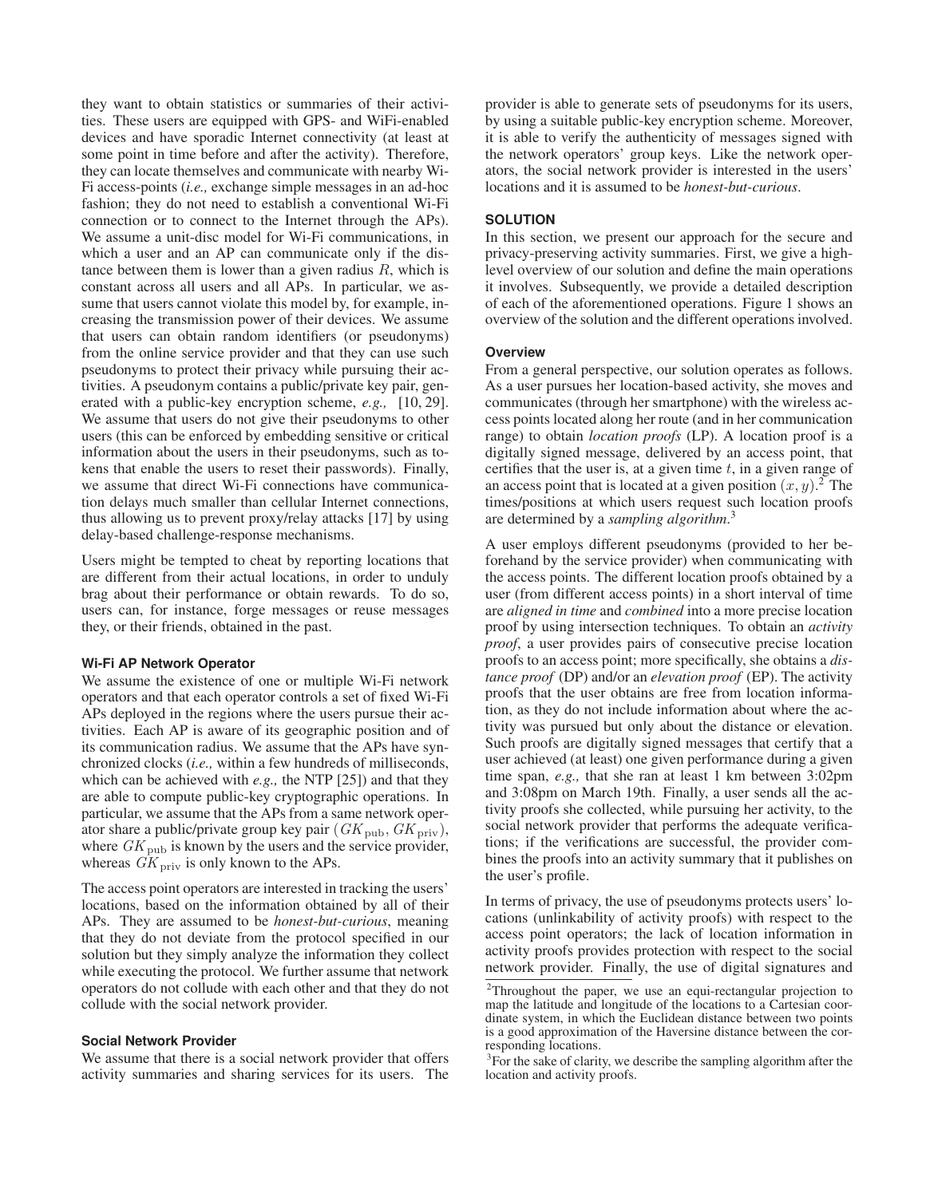they want to obtain statistics or summaries of their activities. These users are equipped with GPS- and WiFi-enabled devices and have sporadic Internet connectivity (at least at some point in time before and after the activity). Therefore, they can locate themselves and communicate with nearby Wi-Fi access-points (*i.e.,* exchange simple messages in an ad-hoc fashion; they do not need to establish a conventional Wi-Fi connection or to connect to the Internet through the APs). We assume a unit-disc model for Wi-Fi communications, in which a user and an AP can communicate only if the distance between them is lower than a given radius  $R$ , which is constant across all users and all APs. In particular, we assume that users cannot violate this model by, for example, increasing the transmission power of their devices. We assume that users can obtain random identifiers (or pseudonyms) from the online service provider and that they can use such pseudonyms to protect their privacy while pursuing their activities. A pseudonym contains a public/private key pair, generated with a public-key encryption scheme, *e.g.,* [10, 29]. We assume that users do not give their pseudonyms to other users (this can be enforced by embedding sensitive or critical information about the users in their pseudonyms, such as tokens that enable the users to reset their passwords). Finally, we assume that direct Wi-Fi connections have communication delays much smaller than cellular Internet connections, thus allowing us to prevent proxy/relay attacks [17] by using delay-based challenge-response mechanisms.

Users might be tempted to cheat by reporting locations that are different from their actual locations, in order to unduly brag about their performance or obtain rewards. To do so, users can, for instance, forge messages or reuse messages they, or their friends, obtained in the past.

# **Wi-Fi AP Network Operator**

We assume the existence of one or multiple Wi-Fi network operators and that each operator controls a set of fixed Wi-Fi APs deployed in the regions where the users pursue their activities. Each AP is aware of its geographic position and of its communication radius. We assume that the APs have synchronized clocks (*i.e.,* within a few hundreds of milliseconds, which can be achieved with *e.g.,* the NTP [25]) and that they are able to compute public-key cryptographic operations. In particular, we assume that the APs from a same network operator share a public/private group key pair  $(GK_{\text{pub}}, GK_{\text{priv}})$ , where  $GK_{pub}$  is known by the users and the service provider, whereas  $\tilde{G}K_{\text{priv}}$  is only known to the APs.

The access point operators are interested in tracking the users' locations, based on the information obtained by all of their APs. They are assumed to be *honest-but-curious*, meaning that they do not deviate from the protocol specified in our solution but they simply analyze the information they collect while executing the protocol. We further assume that network operators do not collude with each other and that they do not collude with the social network provider.

#### **Social Network Provider**

We assume that there is a social network provider that offers activity summaries and sharing services for its users. The provider is able to generate sets of pseudonyms for its users, by using a suitable public-key encryption scheme. Moreover, it is able to verify the authenticity of messages signed with the network operators' group keys. Like the network operators, the social network provider is interested in the users' locations and it is assumed to be *honest-but-curious*.

# **SOLUTION**

In this section, we present our approach for the secure and privacy-preserving activity summaries. First, we give a highlevel overview of our solution and define the main operations it involves. Subsequently, we provide a detailed description of each of the aforementioned operations. Figure 1 shows an overview of the solution and the different operations involved.

### **Overview**

From a general perspective, our solution operates as follows. As a user pursues her location-based activity, she moves and communicates (through her smartphone) with the wireless access points located along her route (and in her communication range) to obtain *location proofs* (LP). A location proof is a digitally signed message, delivered by an access point, that certifies that the user is, at a given time  $t$ , in a given range of an access point that is located at a given position  $(x, y)$ .<sup>2</sup> The times/positions at which users request such location proofs are determined by a *sampling algorithm*. 3

A user employs different pseudonyms (provided to her beforehand by the service provider) when communicating with the access points. The different location proofs obtained by a user (from different access points) in a short interval of time are *aligned in time* and *combined* into a more precise location proof by using intersection techniques. To obtain an *activity proof*, a user provides pairs of consecutive precise location proofs to an access point; more specifically, she obtains a *distance proof* (DP) and/or an *elevation proof* (EP). The activity proofs that the user obtains are free from location information, as they do not include information about where the activity was pursued but only about the distance or elevation. Such proofs are digitally signed messages that certify that a user achieved (at least) one given performance during a given time span, *e.g.,* that she ran at least 1 km between 3:02pm and 3:08pm on March 19th. Finally, a user sends all the activity proofs she collected, while pursuing her activity, to the social network provider that performs the adequate verifications; if the verifications are successful, the provider combines the proofs into an activity summary that it publishes on the user's profile.

In terms of privacy, the use of pseudonyms protects users' locations (unlinkability of activity proofs) with respect to the access point operators; the lack of location information in activity proofs provides protection with respect to the social network provider. Finally, the use of digital signatures and

 $2$ Throughout the paper, we use an equi-rectangular projection to map the latitude and longitude of the locations to a Cartesian coordinate system, in which the Euclidean distance between two points is a good approximation of the Haversine distance between the corresponding locations.

 $3$ For the sake of clarity, we describe the sampling algorithm after the location and activity proofs.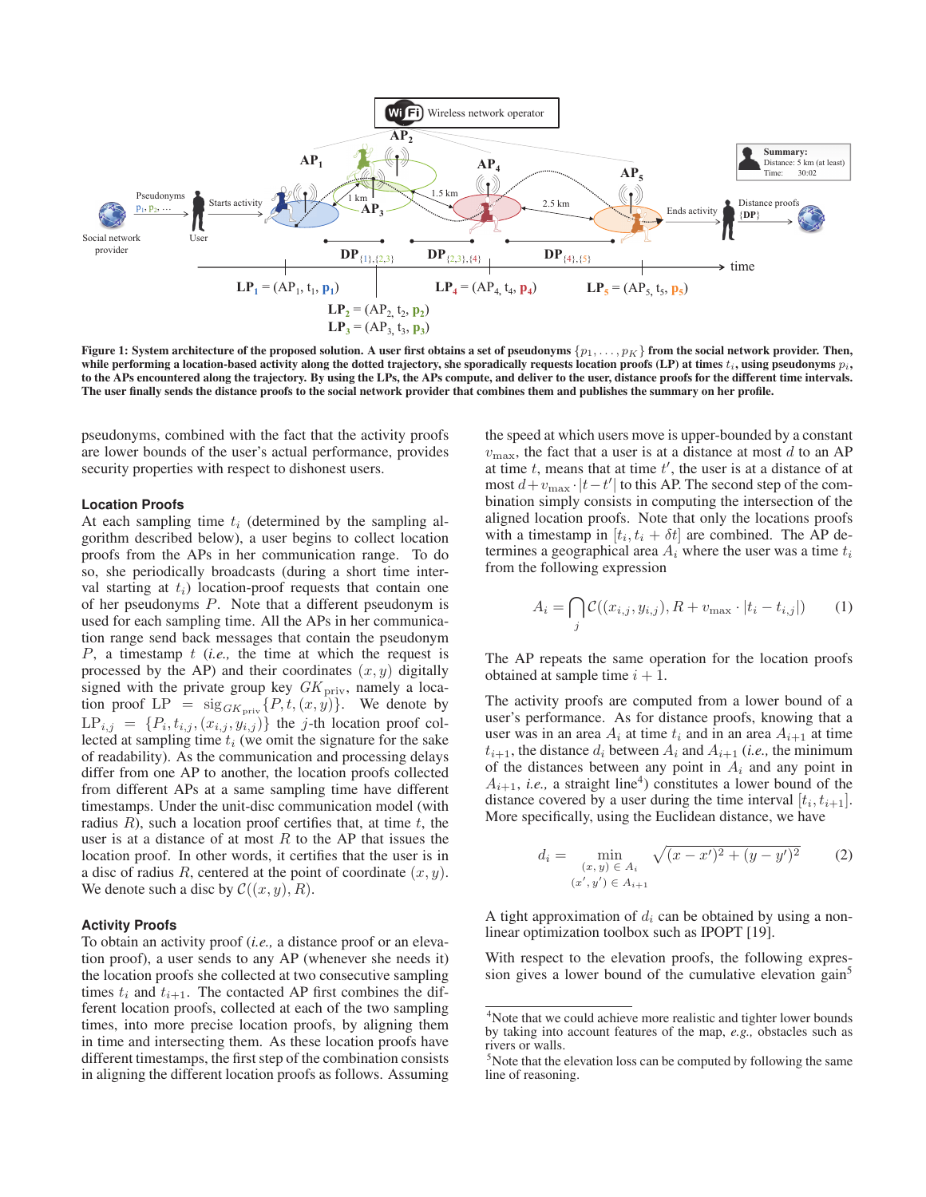

Figure 1: System architecture of the proposed solution. A user first obtains a set of pseudonyms  $\{p_1, \ldots, p_K\}$  from the social network provider. Then, while performing a location-based activity along the dotted trajectory, she sporadically requests location proofs (LP) at times  $t_i$ , using pseudonyms  $p_i$ , to the APs encountered along the trajectory. By using the LPs, the APs compute, and deliver to the user, distance proofs for the different time intervals. The user finally sends the distance proofs to the social network provider that combines them and publishes the summary on her profile.

pseudonyms, combined with the fact that the activity proofs are lower bounds of the user's actual performance, provides security properties with respect to dishonest users.

# **Location Proofs**

At each sampling time  $t_i$  (determined by the sampling algorithm described below), a user begins to collect location proofs from the APs in her communication range. To do so, she periodically broadcasts (during a short time interval starting at  $t_i$ ) location-proof requests that contain one of her pseudonyms P. Note that a different pseudonym is used for each sampling time. All the APs in her communication range send back messages that contain the pseudonym P, a timestamp t (*i.e.,* the time at which the request is processed by the AP) and their coordinates  $(x, y)$  digitally signed with the private group key  $GK<sub>priv</sub>$ , namely a location proof LP =  $\text{sig}_{GK_{\text{priv}}}$ { $P, t, (x, y)$ }. We denote by  $LP_{i,j} = \{P_i, t_{i,j}, (x_{i,j}, y_{i,j})\}$  the j-th location proof collected at sampling time  $t_i$  (we omit the signature for the sake of readability). As the communication and processing delays differ from one AP to another, the location proofs collected from different APs at a same sampling time have different timestamps. Under the unit-disc communication model (with radius  $R$ ), such a location proof certifies that, at time  $t$ , the user is at a distance of at most  $R$  to the AP that issues the location proof. In other words, it certifies that the user is in a disc of radius R, centered at the point of coordinate  $(x, y)$ . We denote such a disc by  $\mathcal{C}((x, y), R)$ .

#### **Activity Proofs**

To obtain an activity proof (*i.e.,* a distance proof or an elevation proof), a user sends to any AP (whenever she needs it) the location proofs she collected at two consecutive sampling times  $t_i$  and  $t_{i+1}$ . The contacted AP first combines the different location proofs, collected at each of the two sampling times, into more precise location proofs, by aligning them in time and intersecting them. As these location proofs have different timestamps, the first step of the combination consists in aligning the different location proofs as follows. Assuming the speed at which users move is upper-bounded by a constant  $v_{\text{max}}$ , the fact that a user is at a distance at most d to an AP at time t, means that at time  $t'$ , the user is at a distance of at most  $d + v_{\text{max}} \cdot |t - t'|$  to this AP. The second step of the combination simply consists in computing the intersection of the aligned location proofs. Note that only the locations proofs with a timestamp in  $[t_i, t_i + \delta t]$  are combined. The AP determines a geographical area  $A_i$  where the user was a time  $t_i$ from the following expression

$$
A_i = \bigcap_j C((x_{i,j}, y_{i,j}), R + v_{\text{max}} \cdot |t_i - t_{i,j}|)
$$
 (1)

The AP repeats the same operation for the location proofs obtained at sample time  $i + 1$ .

The activity proofs are computed from a lower bound of a user's performance. As for distance proofs, knowing that a user was in an area  $A_i$  at time  $t_i$  and in an area  $A_{i+1}$  at time  $t_{i+1}$ , the distance  $d_i$  between  $A_i$  and  $A_{i+1}$  (*i.e.*, the minimum of the distances between any point in  $A_i$  and any point in  $A_{i+1}$ , *i.e.*, a straight line<sup>4</sup>) constitutes a lower bound of the distance covered by a user during the time interval  $[t_i, t_{i+1}]$ . More specifically, using the Euclidean distance, we have

$$
d_i = \min_{\substack{(x, y) \in A_i \\ (x', y') \in A_{i+1}}} \sqrt{(x - x')^2 + (y - y')^2} \tag{2}
$$

A tight approximation of  $d_i$  can be obtained by using a nonlinear optimization toolbox such as IPOPT [19].

With respect to the elevation proofs, the following expression gives a lower bound of the cumulative elevation gain<sup>5</sup>

<sup>&</sup>lt;sup>4</sup>Note that we could achieve more realistic and tighter lower bounds by taking into account features of the map, *e.g.,* obstacles such as rivers or walls.

<sup>&</sup>lt;sup>5</sup>Note that the elevation loss can be computed by following the same line of reasoning.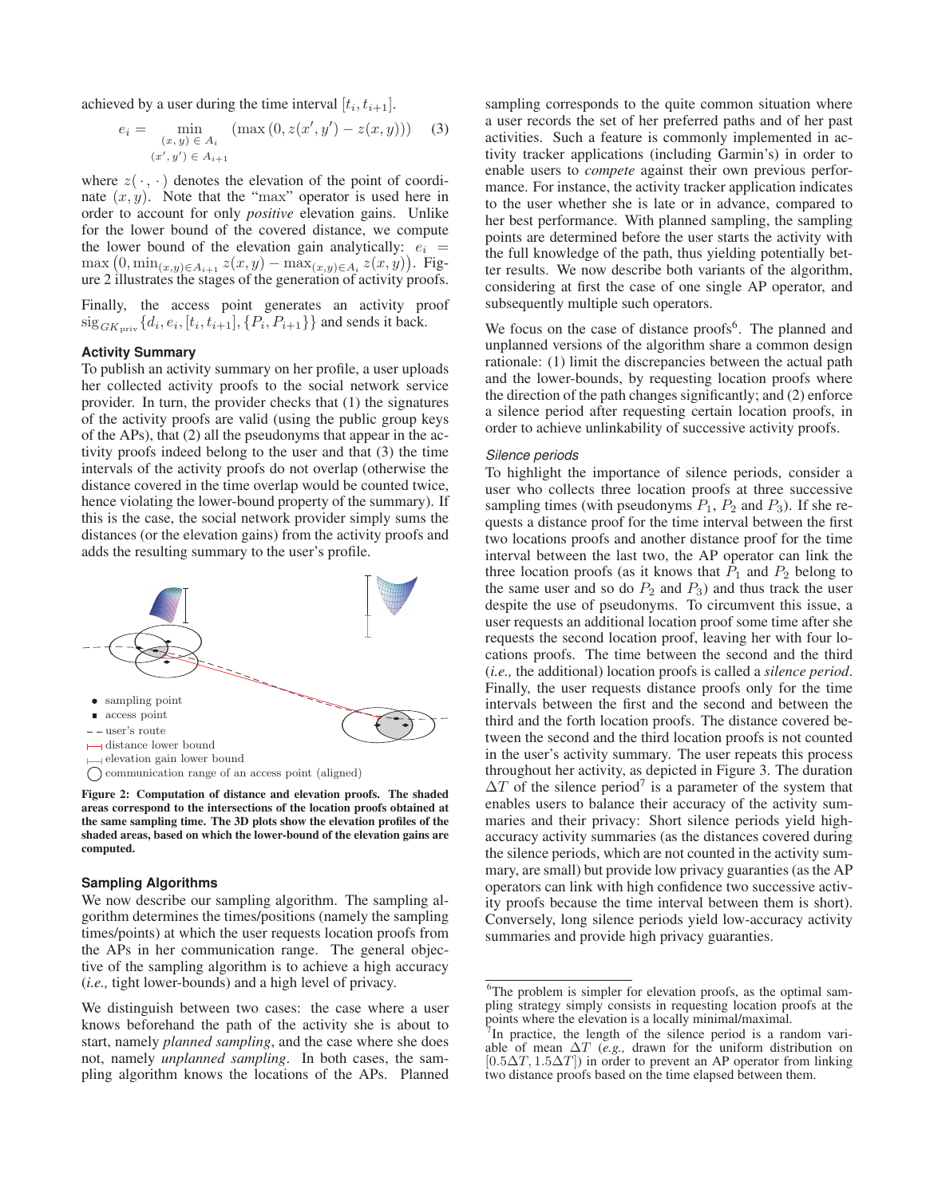achieved by a user during the time interval  $[t_i, t_{i+1}]$ .

$$
e_i = \min_{\substack{(x, y) \in A_i \\ (x', y') \in A_{i+1}}} (\max(0, z(x', y') - z(x, y))) \quad (3)
$$

where  $z(\cdot, \cdot)$  denotes the elevation of the point of coordinate  $(x, y)$ . Note that the "max" operator is used here in order to account for only *positive* elevation gains. Unlike for the lower bound of the covered distance, we compute the lower bound of the elevation gain analytically:  $e_i$  =  $\max (0, \min_{(x,y)\in A_{i+1}} z(x,y) - \max_{(x,y)\in A_i} z(x,y)).$  Figure 2 illustrates the stages of the generation of activity proofs.

Finally, the access point generates an activity proof  $\text{sig}_{GK_{\text{priv}}} \{d_i, e_i, [t_i, t_{i+1}], \{P_i, P_{i+1}\}\}\$  and sends it back.

# **Activity Summary**

To publish an activity summary on her profile, a user uploads her collected activity proofs to the social network service provider. In turn, the provider checks that (1) the signatures of the activity proofs are valid (using the public group keys of the APs), that (2) all the pseudonyms that appear in the activity proofs indeed belong to the user and that (3) the time intervals of the activity proofs do not overlap (otherwise the distance covered in the time overlap would be counted twice, hence violating the lower-bound property of the summary). If this is the case, the social network provider simply sums the distances (or the elevation gains) from the activity proofs and adds the resulting summary to the user's profile.



Figure 2: Computation of distance and elevation proofs. The shaded areas correspond to the intersections of the location proofs obtained at the same sampling time. The 3D plots show the elevation profiles of the shaded areas, based on which the lower-bound of the elevation gains are computed.

#### **Sampling Algorithms**

We now describe our sampling algorithm. The sampling algorithm determines the times/positions (namely the sampling times/points) at which the user requests location proofs from the APs in her communication range. The general objective of the sampling algorithm is to achieve a high accuracy (*i.e.,* tight lower-bounds) and a high level of privacy.

We distinguish between two cases: the case where a user knows beforehand the path of the activity she is about to start, namely *planned sampling*, and the case where she does not, namely *unplanned sampling*. In both cases, the sampling algorithm knows the locations of the APs. Planned sampling corresponds to the quite common situation where a user records the set of her preferred paths and of her past activities. Such a feature is commonly implemented in activity tracker applications (including Garmin's) in order to enable users to *compete* against their own previous performance. For instance, the activity tracker application indicates to the user whether she is late or in advance, compared to her best performance. With planned sampling, the sampling points are determined before the user starts the activity with the full knowledge of the path, thus yielding potentially better results. We now describe both variants of the algorithm, considering at first the case of one single AP operator, and subsequently multiple such operators.

We focus on the case of distance  $\text{proofs}^6$ . The planned and unplanned versions of the algorithm share a common design rationale: (1) limit the discrepancies between the actual path and the lower-bounds, by requesting location proofs where the direction of the path changes significantly; and (2) enforce a silence period after requesting certain location proofs, in order to achieve unlinkability of successive activity proofs.

### *Silence periods*

To highlight the importance of silence periods, consider a user who collects three location proofs at three successive sampling times (with pseudonyms  $P_1$ ,  $P_2$  and  $P_3$ ). If she requests a distance proof for the time interval between the first two locations proofs and another distance proof for the time interval between the last two, the AP operator can link the three location proofs (as it knows that  $\overline{P}_1$  and  $\overline{P}_2$  belong to the same user and so do  $P_2$  and  $P_3$ ) and thus track the user despite the use of pseudonyms. To circumvent this issue, a user requests an additional location proof some time after she requests the second location proof, leaving her with four locations proofs. The time between the second and the third (*i.e.,* the additional) location proofs is called a *silence period*. Finally, the user requests distance proofs only for the time intervals between the first and the second and between the third and the forth location proofs. The distance covered between the second and the third location proofs is not counted in the user's activity summary. The user repeats this process throughout her activity, as depicted in Figure 3. The duration  $\Delta T$  of the silence period<sup>7</sup> is a parameter of the system that enables users to balance their accuracy of the activity summaries and their privacy: Short silence periods yield highaccuracy activity summaries (as the distances covered during the silence periods, which are not counted in the activity summary, are small) but provide low privacy guaranties (as the AP operators can link with high confidence two successive activity proofs because the time interval between them is short). Conversely, long silence periods yield low-accuracy activity summaries and provide high privacy guaranties.

<sup>&</sup>lt;sup>6</sup>The problem is simpler for elevation proofs, as the optimal sampling strategy simply consists in requesting location proofs at the points where the elevation is a locally minimal/maximal.

 $7$ In practice, the length of the silence period is a random variable of mean  $\Delta T$  (*e.g.*, drawn for the uniform distribution on  $[0.5\Delta T, 1.5\Delta T]$ ) in order to prevent an AP operator from linking two distance proofs based on the time elapsed between them.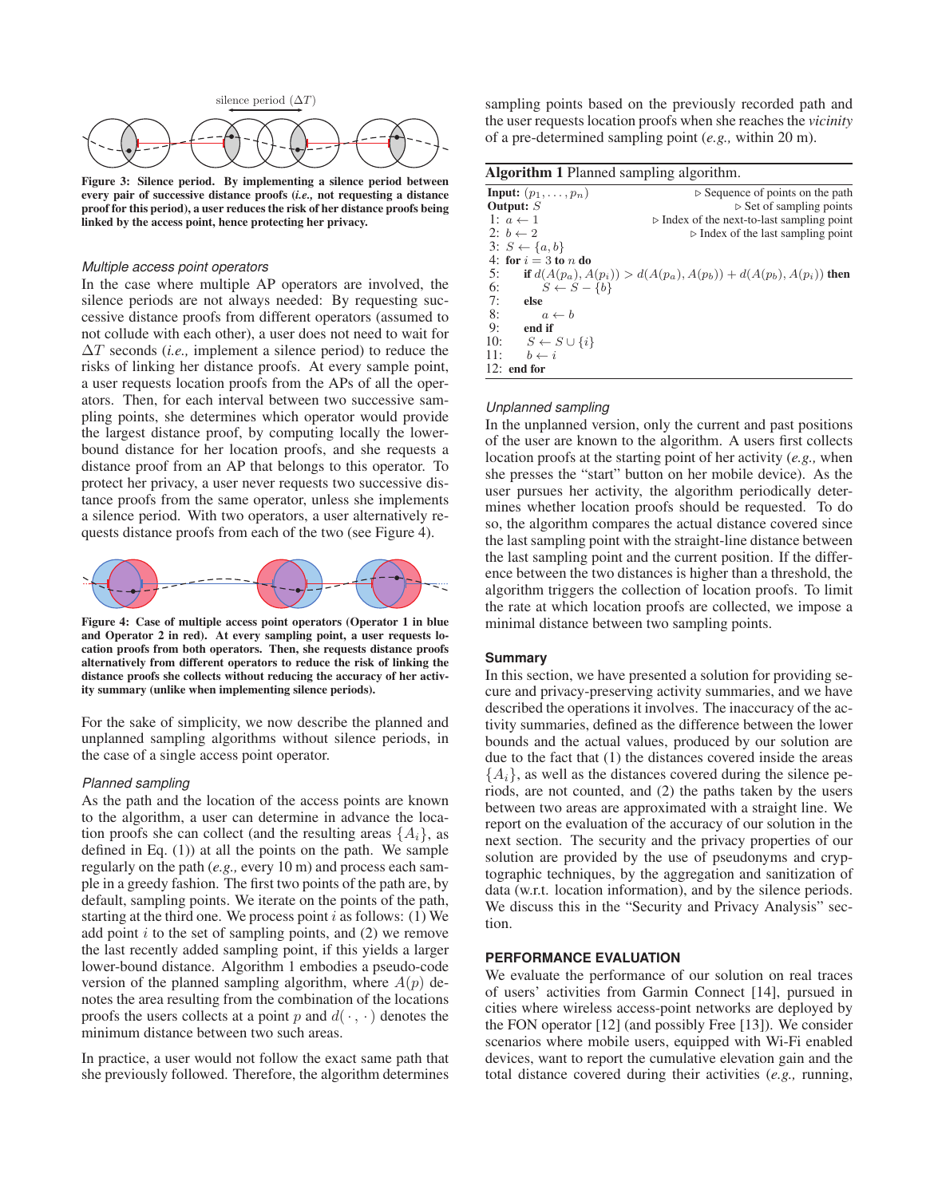

Figure 3: Silence period. By implementing a silence period between every pair of successive distance proofs (*i.e.,* not requesting a distance proof for this period), a user reduces the risk of her distance proofs being linked by the access point, hence protecting her privacy.

#### *Multiple access point operators*

In the case where multiple AP operators are involved, the silence periods are not always needed: By requesting successive distance proofs from different operators (assumed to not collude with each other), a user does not need to wait for ΔT seconds (*i.e.,* implement a silence period) to reduce the risks of linking her distance proofs. At every sample point, a user requests location proofs from the APs of all the operators. Then, for each interval between two successive sampling points, she determines which operator would provide the largest distance proof, by computing locally the lowerbound distance for her location proofs, and she requests a distance proof from an AP that belongs to this operator. To protect her privacy, a user never requests two successive distance proofs from the same operator, unless she implements a silence period. With two operators, a user alternatively requests distance proofs from each of the two (see Figure 4).



Figure 4: Case of multiple access point operators (Operator 1 in blue and Operator 2 in red). At every sampling point, a user requests location proofs from both operators. Then, she requests distance proofs alternatively from different operators to reduce the risk of linking the distance proofs she collects without reducing the accuracy of her activity summary (unlike when implementing silence periods).

For the sake of simplicity, we now describe the planned and unplanned sampling algorithms without silence periods, in the case of a single access point operator.

# *Planned sampling*

As the path and the location of the access points are known to the algorithm, a user can determine in advance the location proofs she can collect (and the resulting areas  $\{A_i\}$ , as defined in Eq. (1)) at all the points on the path. We sample regularly on the path (*e.g.,* every 10 m) and process each sample in a greedy fashion. The first two points of the path are, by default, sampling points. We iterate on the points of the path, starting at the third one. We process point i as follows:  $(1)$  We add point  $i$  to the set of sampling points, and  $(2)$  we remove the last recently added sampling point, if this yields a larger lower-bound distance. Algorithm 1 embodies a pseudo-code version of the planned sampling algorithm, where  $A(p)$  denotes the area resulting from the combination of the locations proofs the users collects at a point p and  $d(\cdot, \cdot)$  denotes the minimum distance between two such areas.

In practice, a user would not follow the exact same path that she previously followed. Therefore, the algorithm determines sampling points based on the previously recorded path and the user requests location proofs when she reaches the *vicinity* of a pre-determined sampling point (*e.g.,* within 20 m).

Algorithm 1 Planned sampling algorithm.

| <b>Input:</b> $(p_1, \ldots, p_n)$<br>Output: $S$<br>1: $a \leftarrow 1$<br>$2: b \leftarrow 2$<br>$3: S \leftarrow \{a, b\}$<br>4: for $i=3$ to n do<br>if $d(A(p_a), A(p_i)) > d(A(p_a), A(p_b)) + d(A(p_b), A(p_i))$ then<br>5:<br>6:<br>$S \leftarrow S - \{b\}$<br>7:<br>else<br>8:<br>$a \leftarrow b$<br>9:<br>end if<br>10:<br>$S \leftarrow S \cup \{i\}$<br>11:<br>$b \leftarrow i$<br>$12:$ end for |                                                           |
|----------------------------------------------------------------------------------------------------------------------------------------------------------------------------------------------------------------------------------------------------------------------------------------------------------------------------------------------------------------------------------------------------------------|-----------------------------------------------------------|
|                                                                                                                                                                                                                                                                                                                                                                                                                | $\triangleright$ Sequence of points on the path           |
|                                                                                                                                                                                                                                                                                                                                                                                                                | $\triangleright$ Set of sampling points                   |
|                                                                                                                                                                                                                                                                                                                                                                                                                | $\triangleright$ Index of the next-to-last sampling point |
|                                                                                                                                                                                                                                                                                                                                                                                                                | $\triangleright$ Index of the last sampling point         |
|                                                                                                                                                                                                                                                                                                                                                                                                                |                                                           |
|                                                                                                                                                                                                                                                                                                                                                                                                                |                                                           |
|                                                                                                                                                                                                                                                                                                                                                                                                                |                                                           |
|                                                                                                                                                                                                                                                                                                                                                                                                                |                                                           |
|                                                                                                                                                                                                                                                                                                                                                                                                                |                                                           |
|                                                                                                                                                                                                                                                                                                                                                                                                                |                                                           |
|                                                                                                                                                                                                                                                                                                                                                                                                                |                                                           |
|                                                                                                                                                                                                                                                                                                                                                                                                                |                                                           |
|                                                                                                                                                                                                                                                                                                                                                                                                                |                                                           |
|                                                                                                                                                                                                                                                                                                                                                                                                                |                                                           |

### *Unplanned sampling*

In the unplanned version, only the current and past positions of the user are known to the algorithm. A users first collects location proofs at the starting point of her activity (*e.g.,* when she presses the "start" button on her mobile device). As the user pursues her activity, the algorithm periodically determines whether location proofs should be requested. To do so, the algorithm compares the actual distance covered since the last sampling point with the straight-line distance between the last sampling point and the current position. If the difference between the two distances is higher than a threshold, the algorithm triggers the collection of location proofs. To limit the rate at which location proofs are collected, we impose a minimal distance between two sampling points.

#### **Summary**

In this section, we have presented a solution for providing secure and privacy-preserving activity summaries, and we have described the operations it involves. The inaccuracy of the activity summaries, defined as the difference between the lower bounds and the actual values, produced by our solution are due to the fact that (1) the distances covered inside the areas  ${A<sub>i</sub>}$ , as well as the distances covered during the silence periods, are not counted, and (2) the paths taken by the users between two areas are approximated with a straight line. We report on the evaluation of the accuracy of our solution in the next section. The security and the privacy properties of our solution are provided by the use of pseudonyms and cryptographic techniques, by the aggregation and sanitization of data (w.r.t. location information), and by the silence periods. We discuss this in the "Security and Privacy Analysis" section.

## **PERFORMANCE EVALUATION**

We evaluate the performance of our solution on real traces of users' activities from Garmin Connect [14], pursued in cities where wireless access-point networks are deployed by the FON operator [12] (and possibly Free [13]). We consider scenarios where mobile users, equipped with Wi-Fi enabled devices, want to report the cumulative elevation gain and the total distance covered during their activities (*e.g.,* running,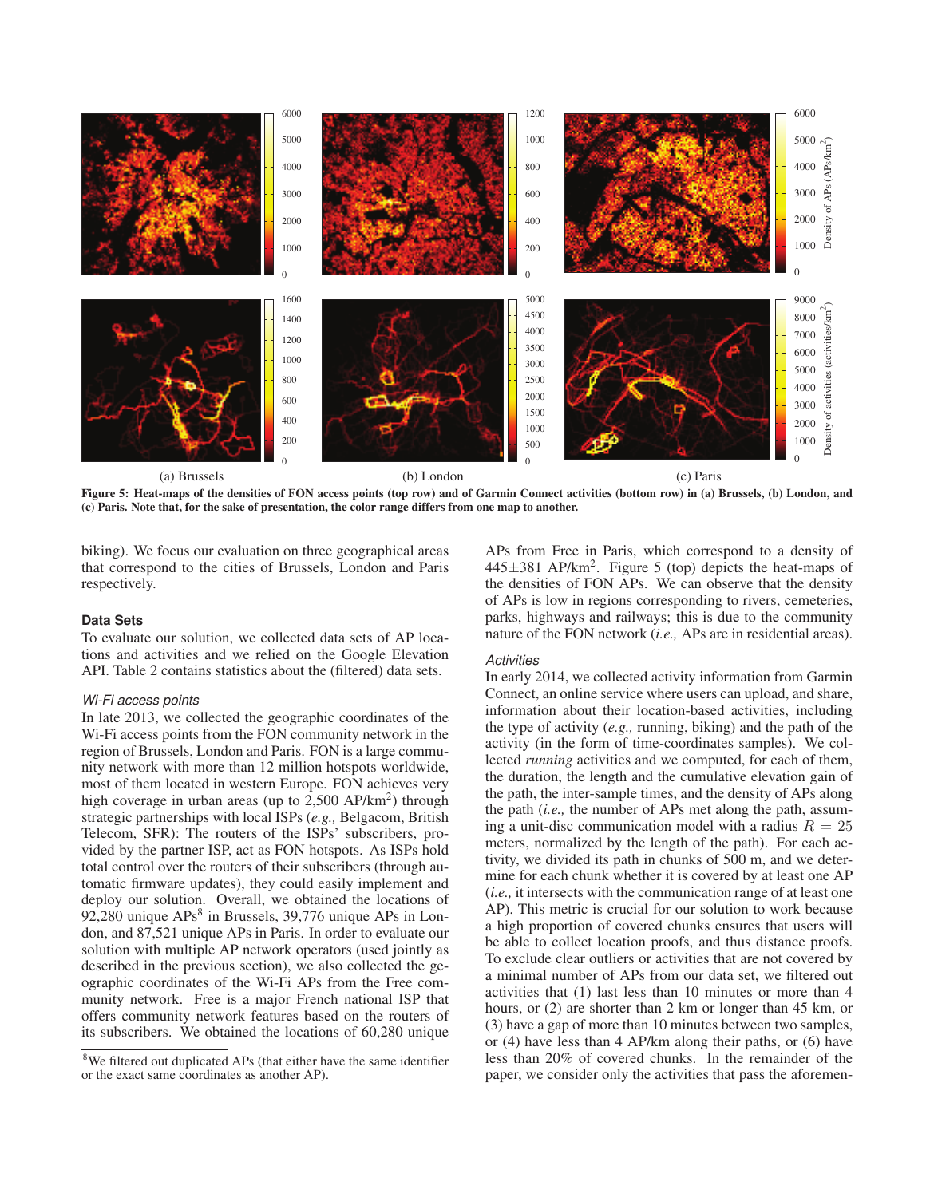

Figure 5: Heat-maps of the densities of FON access points (top row) and of Garmin Connect activities (bottom row) in (a) Brussels, (b) London, and (c) Paris. Note that, for the sake of presentation, the color range differs from one map to another.

biking). We focus our evaluation on three geographical areas that correspond to the cities of Brussels, London and Paris respectively.

## **Data Sets**

To evaluate our solution, we collected data sets of AP locations and activities and we relied on the Google Elevation API. Table 2 contains statistics about the (filtered) data sets.

# *Wi-Fi access points*

In late 2013, we collected the geographic coordinates of the Wi-Fi access points from the FON community network in the region of Brussels, London and Paris. FON is a large community network with more than 12 million hotspots worldwide, most of them located in western Europe. FON achieves very high coverage in urban areas (up to  $2,500 \text{ AP/km}^2$ ) through strategic partnerships with local ISPs (*e.g.,* Belgacom, British Telecom, SFR): The routers of the ISPs' subscribers, provided by the partner ISP, act as FON hotspots. As ISPs hold total control over the routers of their subscribers (through automatic firmware updates), they could easily implement and deploy our solution. Overall, we obtained the locations of 92,280 unique  $APs^8$  in Brussels, 39,776 unique  $APs$  in London, and 87,521 unique APs in Paris. In order to evaluate our solution with multiple AP network operators (used jointly as described in the previous section), we also collected the geographic coordinates of the Wi-Fi APs from the Free community network. Free is a major French national ISP that offers community network features based on the routers of its subscribers. We obtained the locations of 60,280 unique

APs from Free in Paris, which correspond to a density of  $445\pm381$  AP/km<sup>2</sup>. Figure 5 (top) depicts the heat-maps of the densities of FON APs. We can observe that the density of APs is low in regions corresponding to rivers, cemeteries, parks, highways and railways; this is due to the community nature of the FON network (*i.e.,* APs are in residential areas).

#### *Activities*

In early 2014, we collected activity information from Garmin Connect, an online service where users can upload, and share, information about their location-based activities, including the type of activity (*e.g.,* running, biking) and the path of the activity (in the form of time-coordinates samples). We collected *running* activities and we computed, for each of them, the duration, the length and the cumulative elevation gain of the path, the inter-sample times, and the density of APs along the path (*i.e.,* the number of APs met along the path, assuming a unit-disc communication model with a radius  $R = 25$ meters, normalized by the length of the path). For each activity, we divided its path in chunks of 500 m, and we determine for each chunk whether it is covered by at least one AP (*i.e.,* it intersects with the communication range of at least one AP). This metric is crucial for our solution to work because a high proportion of covered chunks ensures that users will be able to collect location proofs, and thus distance proofs. To exclude clear outliers or activities that are not covered by a minimal number of APs from our data set, we filtered out activities that (1) last less than 10 minutes or more than 4 hours, or  $(2)$  are shorter than 2 km or longer than 45 km, or (3) have a gap of more than 10 minutes between two samples, or (4) have less than 4 AP/km along their paths, or (6) have less than 20% of covered chunks. In the remainder of the paper, we consider only the activities that pass the aforemen-

<sup>&</sup>lt;sup>8</sup>We filtered out duplicated APs (that either have the same identifier or the exact same coordinates as another AP).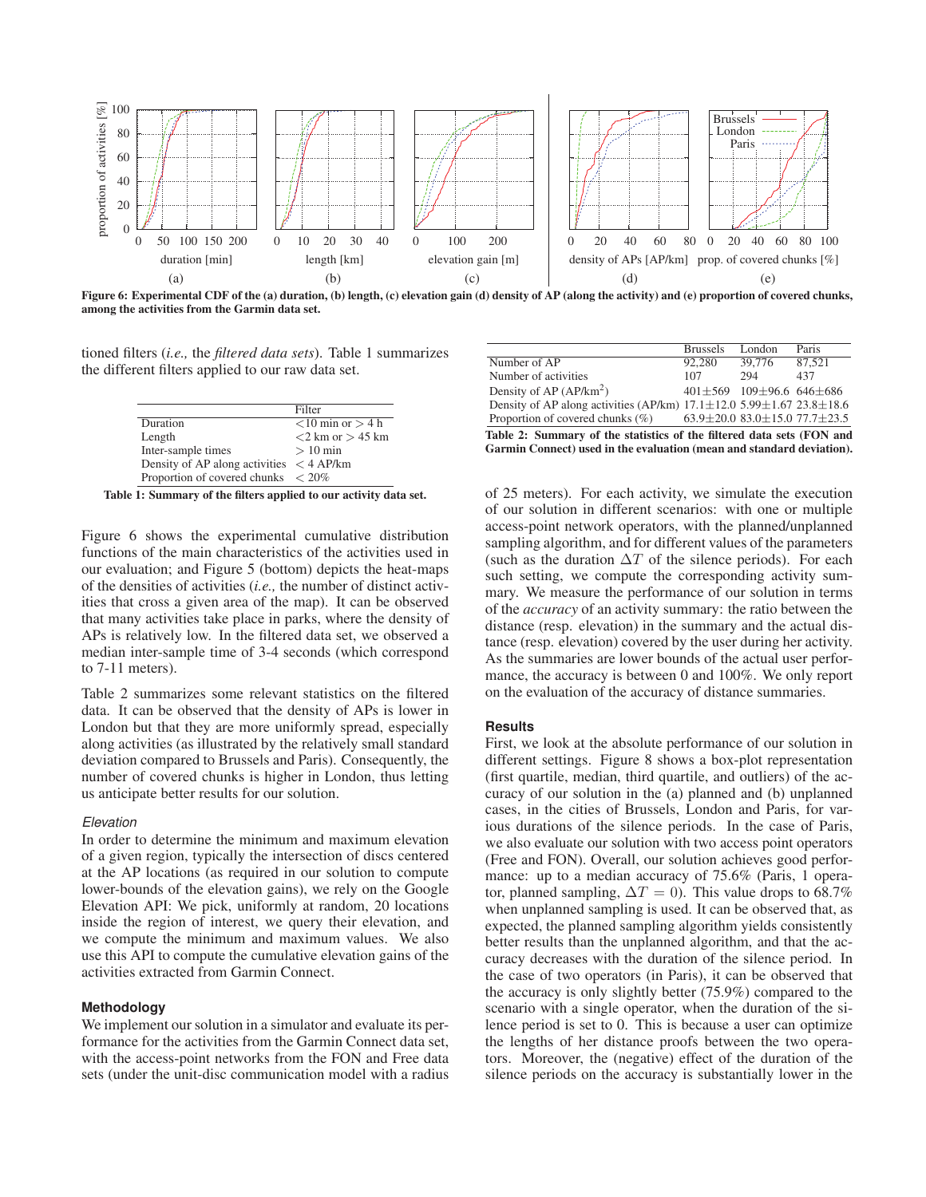

Figure 6: Experimental CDF of the (a) duration, (b) length, (c) elevation gain (d) density of AP (along the activity) and (e) proportion of covered chunks, among the activities from the Garmin data set.

tioned filters (*i.e.,* the *filtered data sets*). Table 1 summarizes the different filters applied to our raw data set.

|                                                                  | Filter                |
|------------------------------------------------------------------|-----------------------|
| Duration                                                         | $<$ 10 min or $>$ 4 h |
| Length                                                           | $<$ 2 km or $>$ 45 km |
| Inter-sample times                                               | $>10$ min             |
| Density of AP along activities $\langle 4 \text{ AP/km} \rangle$ |                       |
| Proportion of covered chunks $\langle 20\% \rangle$              |                       |

Table 1: Summary of the filters applied to our activity data set.

Figure 6 shows the experimental cumulative distribution functions of the main characteristics of the activities used in our evaluation; and Figure 5 (bottom) depicts the heat-maps of the densities of activities (*i.e.,* the number of distinct activities that cross a given area of the map). It can be observed that many activities take place in parks, where the density of APs is relatively low. In the filtered data set, we observed a median inter-sample time of 3-4 seconds (which correspond to 7-11 meters).

Table 2 summarizes some relevant statistics on the filtered data. It can be observed that the density of APs is lower in London but that they are more uniformly spread, especially along activities (as illustrated by the relatively small standard deviation compared to Brussels and Paris). Consequently, the number of covered chunks is higher in London, thus letting us anticipate better results for our solution.

## *Elevation*

In order to determine the minimum and maximum elevation of a given region, typically the intersection of discs centered at the AP locations (as required in our solution to compute lower-bounds of the elevation gains), we rely on the Google Elevation API: We pick, uniformly at random, 20 locations inside the region of interest, we query their elevation, and we compute the minimum and maximum values. We also use this API to compute the cumulative elevation gains of the activities extracted from Garmin Connect.

### **Methodology**

We implement our solution in a simulator and evaluate its performance for the activities from the Garmin Connect data set, with the access-point networks from the FON and Free data sets (under the unit-disc communication model with a radius

|                                                                                        | <b>Brussels</b> | London                                          | Paris  |
|----------------------------------------------------------------------------------------|-----------------|-------------------------------------------------|--------|
| Number of AP                                                                           | 92,280          | 39,776                                          | 87.521 |
| Number of activities                                                                   | 107             | 294                                             | 437    |
| Density of AP $AP/km2$ )                                                               |                 | $401\pm569$ $109\pm96.6$ $646\pm686$            |        |
| Density of AP along activities (AP/km) $17.1 \pm 12.0$ 5.99 $\pm 1.67$ 23.8 $\pm 18.6$ |                 |                                                 |        |
| Proportion of covered chunks $(\%)$                                                    |                 | $63.9 \pm 20.0$ $83.0 \pm 15.0$ $77.7 \pm 23.5$ |        |

Table 2: Summary of the statistics of the filtered data sets (FON and Garmin Connect) used in the evaluation (mean and standard deviation).

of 25 meters). For each activity, we simulate the execution of our solution in different scenarios: with one or multiple access-point network operators, with the planned/unplanned sampling algorithm, and for different values of the parameters (such as the duration  $\Delta T$  of the silence periods). For each such setting, we compute the corresponding activity summary. We measure the performance of our solution in terms of the *accuracy* of an activity summary: the ratio between the distance (resp. elevation) in the summary and the actual distance (resp. elevation) covered by the user during her activity. As the summaries are lower bounds of the actual user performance, the accuracy is between 0 and 100%. We only report on the evaluation of the accuracy of distance summaries.

# **Results**

First, we look at the absolute performance of our solution in different settings. Figure 8 shows a box-plot representation (first quartile, median, third quartile, and outliers) of the accuracy of our solution in the (a) planned and (b) unplanned cases, in the cities of Brussels, London and Paris, for various durations of the silence periods. In the case of Paris, we also evaluate our solution with two access point operators (Free and FON). Overall, our solution achieves good performance: up to a median accuracy of 75.6% (Paris, 1 operator, planned sampling,  $\Delta T = 0$ ). This value drops to 68.7% when unplanned sampling is used. It can be observed that, as expected, the planned sampling algorithm yields consistently better results than the unplanned algorithm, and that the accuracy decreases with the duration of the silence period. In the case of two operators (in Paris), it can be observed that the accuracy is only slightly better (75.9%) compared to the scenario with a single operator, when the duration of the silence period is set to 0. This is because a user can optimize the lengths of her distance proofs between the two operators. Moreover, the (negative) effect of the duration of the silence periods on the accuracy is substantially lower in the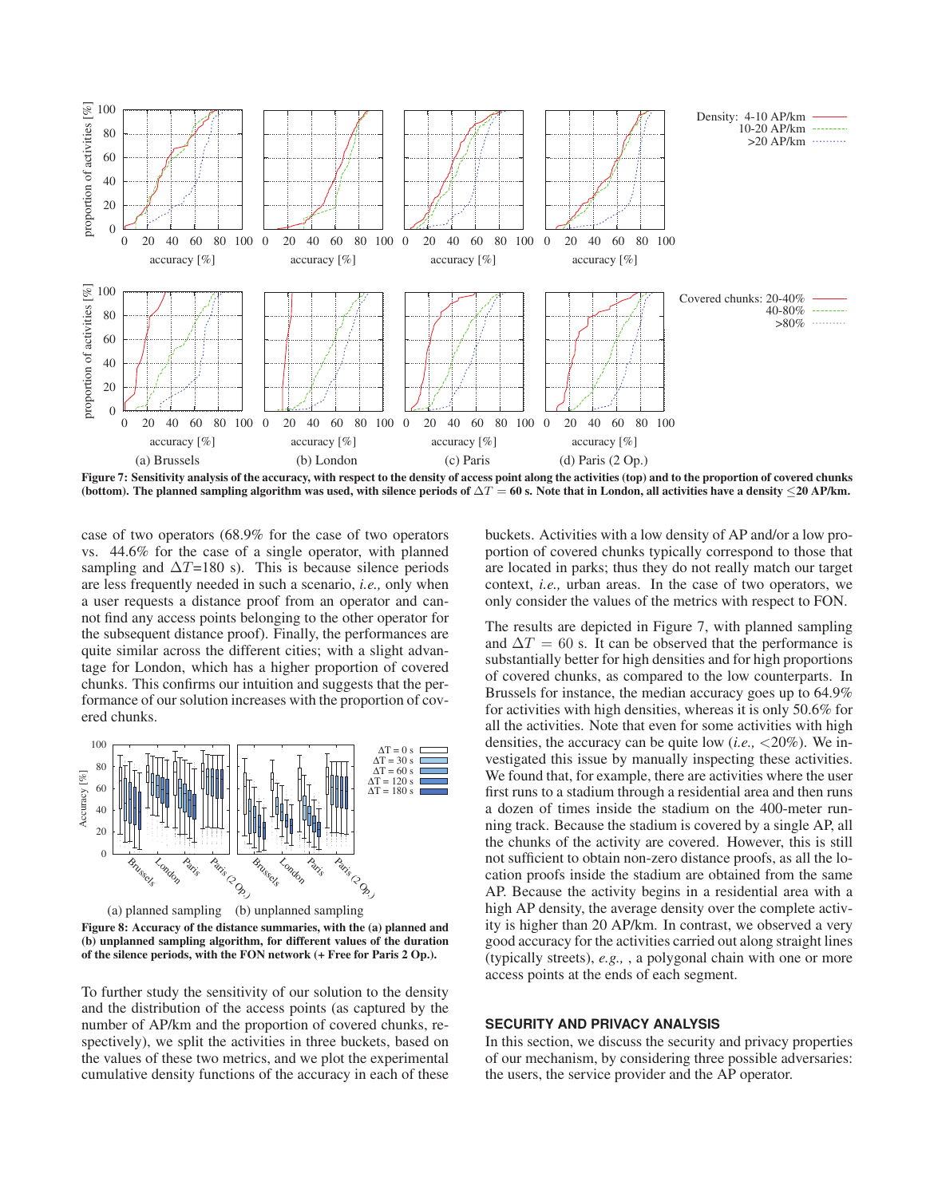

Figure 7: Sensitivity analysis of the accuracy, with respect to the density of access point along the activities (top) and to the proportion of covered chunks (bottom). The planned sampling algorithm was used, with silence periods of  $\Delta T = 60$  s. Note that in London, all activities have a density  $\leq$  20 AP/km.

case of two operators (68.9% for the case of two operators vs. 44.6% for the case of a single operator, with planned sampling and  $\Delta T$ =180 s). This is because silence periods are less frequently needed in such a scenario, *i.e.,* only when a user requests a distance proof from an operator and cannot find any access points belonging to the other operator for the subsequent distance proof). Finally, the performances are quite similar across the different cities; with a slight advantage for London, which has a higher proportion of covered chunks. This confirms our intuition and suggests that the performance of our solution increases with the proportion of covered chunks.



Figure 8: Accuracy of the distance summaries, with the (a) planned and (b) unplanned sampling algorithm, for different values of the duration of the silence periods, with the FON network (+ Free for Paris 2 Op.).

To further study the sensitivity of our solution to the density and the distribution of the access points (as captured by the number of AP/km and the proportion of covered chunks, respectively), we split the activities in three buckets, based on the values of these two metrics, and we plot the experimental cumulative density functions of the accuracy in each of these

buckets. Activities with a low density of AP and/or a low proportion of covered chunks typically correspond to those that are located in parks; thus they do not really match our target context, *i.e.,* urban areas. In the case of two operators, we only consider the values of the metrics with respect to FON.

The results are depicted in Figure 7, with planned sampling and  $\Delta T = 60$  s. It can be observed that the performance is substantially better for high densities and for high proportions of covered chunks, as compared to the low counterparts. In Brussels for instance, the median accuracy goes up to 64.9% for activities with high densities, whereas it is only 50.6% for all the activities. Note that even for some activities with high densities, the accuracy can be quite low (*i.e.,* <20%). We investigated this issue by manually inspecting these activities. We found that, for example, there are activities where the user first runs to a stadium through a residential area and then runs a dozen of times inside the stadium on the 400-meter running track. Because the stadium is covered by a single AP, all the chunks of the activity are covered. However, this is still not sufficient to obtain non-zero distance proofs, as all the location proofs inside the stadium are obtained from the same AP. Because the activity begins in a residential area with a high AP density, the average density over the complete activity is higher than 20 AP/km. In contrast, we observed a very good accuracy for the activities carried out along straight lines (typically streets), *e.g.,* , a polygonal chain with one or more access points at the ends of each segment.

# **SECURITY AND PRIVACY ANALYSIS**

In this section, we discuss the security and privacy properties of our mechanism, by considering three possible adversaries: the users, the service provider and the AP operator.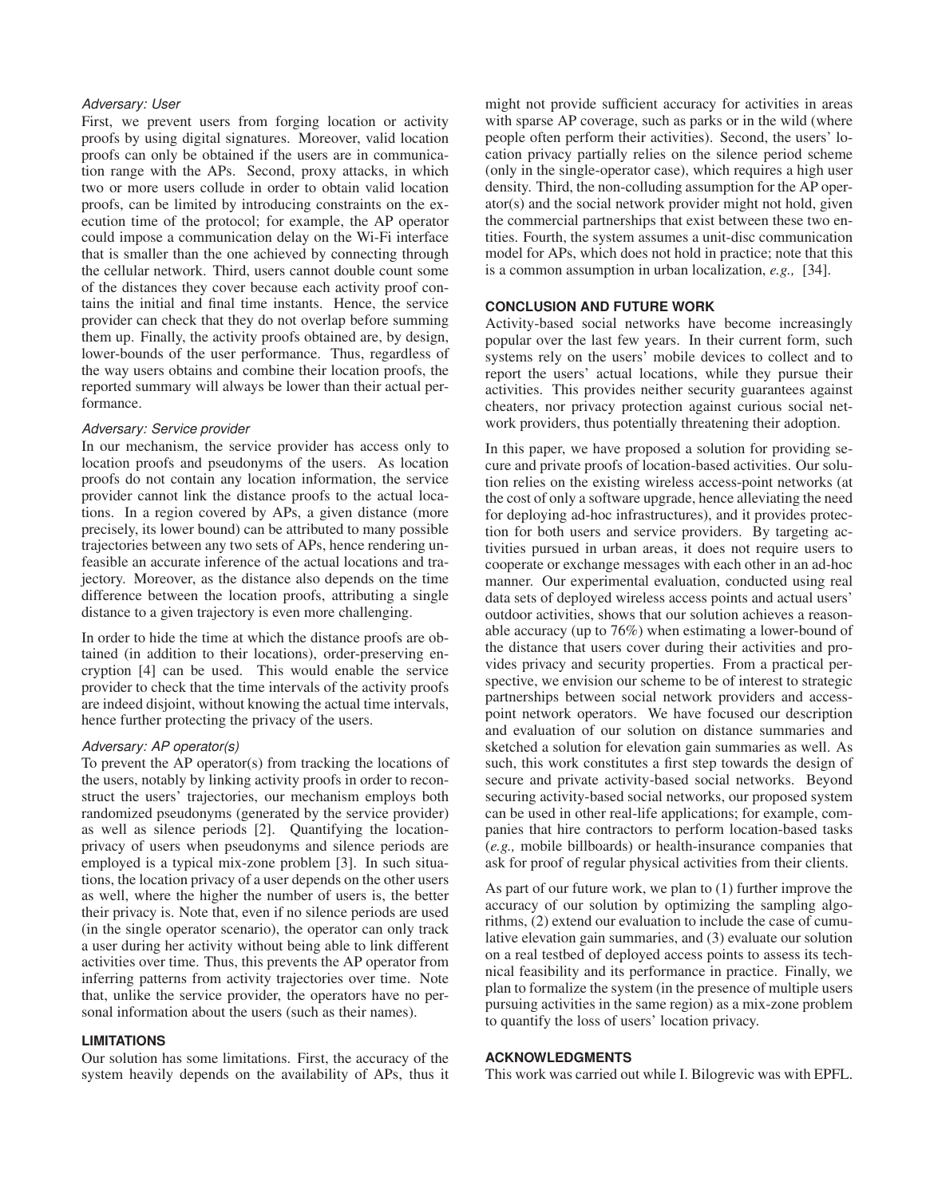### *Adversary: User*

First, we prevent users from forging location or activity proofs by using digital signatures. Moreover, valid location proofs can only be obtained if the users are in communication range with the APs. Second, proxy attacks, in which two or more users collude in order to obtain valid location proofs, can be limited by introducing constraints on the execution time of the protocol; for example, the AP operator could impose a communication delay on the Wi-Fi interface that is smaller than the one achieved by connecting through the cellular network. Third, users cannot double count some of the distances they cover because each activity proof contains the initial and final time instants. Hence, the service provider can check that they do not overlap before summing them up. Finally, the activity proofs obtained are, by design, lower-bounds of the user performance. Thus, regardless of the way users obtains and combine their location proofs, the reported summary will always be lower than their actual performance.

#### *Adversary: Service provider*

In our mechanism, the service provider has access only to location proofs and pseudonyms of the users. As location proofs do not contain any location information, the service provider cannot link the distance proofs to the actual locations. In a region covered by APs, a given distance (more precisely, its lower bound) can be attributed to many possible trajectories between any two sets of APs, hence rendering unfeasible an accurate inference of the actual locations and trajectory. Moreover, as the distance also depends on the time difference between the location proofs, attributing a single distance to a given trajectory is even more challenging.

In order to hide the time at which the distance proofs are obtained (in addition to their locations), order-preserving encryption [4] can be used. This would enable the service provider to check that the time intervals of the activity proofs are indeed disjoint, without knowing the actual time intervals, hence further protecting the privacy of the users.

# *Adversary: AP operator(s)*

To prevent the AP operator(s) from tracking the locations of the users, notably by linking activity proofs in order to reconstruct the users' trajectories, our mechanism employs both randomized pseudonyms (generated by the service provider) as well as silence periods [2]. Quantifying the locationprivacy of users when pseudonyms and silence periods are employed is a typical mix-zone problem [3]. In such situations, the location privacy of a user depends on the other users as well, where the higher the number of users is, the better their privacy is. Note that, even if no silence periods are used (in the single operator scenario), the operator can only track a user during her activity without being able to link different activities over time. Thus, this prevents the AP operator from inferring patterns from activity trajectories over time. Note that, unlike the service provider, the operators have no personal information about the users (such as their names).

# **LIMITATIONS**

Our solution has some limitations. First, the accuracy of the system heavily depends on the availability of APs, thus it

might not provide sufficient accuracy for activities in areas with sparse AP coverage, such as parks or in the wild (where people often perform their activities). Second, the users' location privacy partially relies on the silence period scheme (only in the single-operator case), which requires a high user density. Third, the non-colluding assumption for the AP operator(s) and the social network provider might not hold, given the commercial partnerships that exist between these two entities. Fourth, the system assumes a unit-disc communication model for APs, which does not hold in practice; note that this is a common assumption in urban localization, *e.g.,* [34].

## **CONCLUSION AND FUTURE WORK**

Activity-based social networks have become increasingly popular over the last few years. In their current form, such systems rely on the users' mobile devices to collect and to report the users' actual locations, while they pursue their activities. This provides neither security guarantees against cheaters, nor privacy protection against curious social network providers, thus potentially threatening their adoption.

In this paper, we have proposed a solution for providing secure and private proofs of location-based activities. Our solution relies on the existing wireless access-point networks (at the cost of only a software upgrade, hence alleviating the need for deploying ad-hoc infrastructures), and it provides protection for both users and service providers. By targeting activities pursued in urban areas, it does not require users to cooperate or exchange messages with each other in an ad-hoc manner. Our experimental evaluation, conducted using real data sets of deployed wireless access points and actual users' outdoor activities, shows that our solution achieves a reasonable accuracy (up to 76%) when estimating a lower-bound of the distance that users cover during their activities and provides privacy and security properties. From a practical perspective, we envision our scheme to be of interest to strategic partnerships between social network providers and accesspoint network operators. We have focused our description and evaluation of our solution on distance summaries and sketched a solution for elevation gain summaries as well. As such, this work constitutes a first step towards the design of secure and private activity-based social networks. Beyond securing activity-based social networks, our proposed system can be used in other real-life applications; for example, companies that hire contractors to perform location-based tasks (*e.g.,* mobile billboards) or health-insurance companies that ask for proof of regular physical activities from their clients.

As part of our future work, we plan to (1) further improve the accuracy of our solution by optimizing the sampling algorithms, (2) extend our evaluation to include the case of cumulative elevation gain summaries, and (3) evaluate our solution on a real testbed of deployed access points to assess its technical feasibility and its performance in practice. Finally, we plan to formalize the system (in the presence of multiple users pursuing activities in the same region) as a mix-zone problem to quantify the loss of users' location privacy.

# **ACKNOWLEDGMENTS**

This work was carried out while I. Bilogrevic was with EPFL.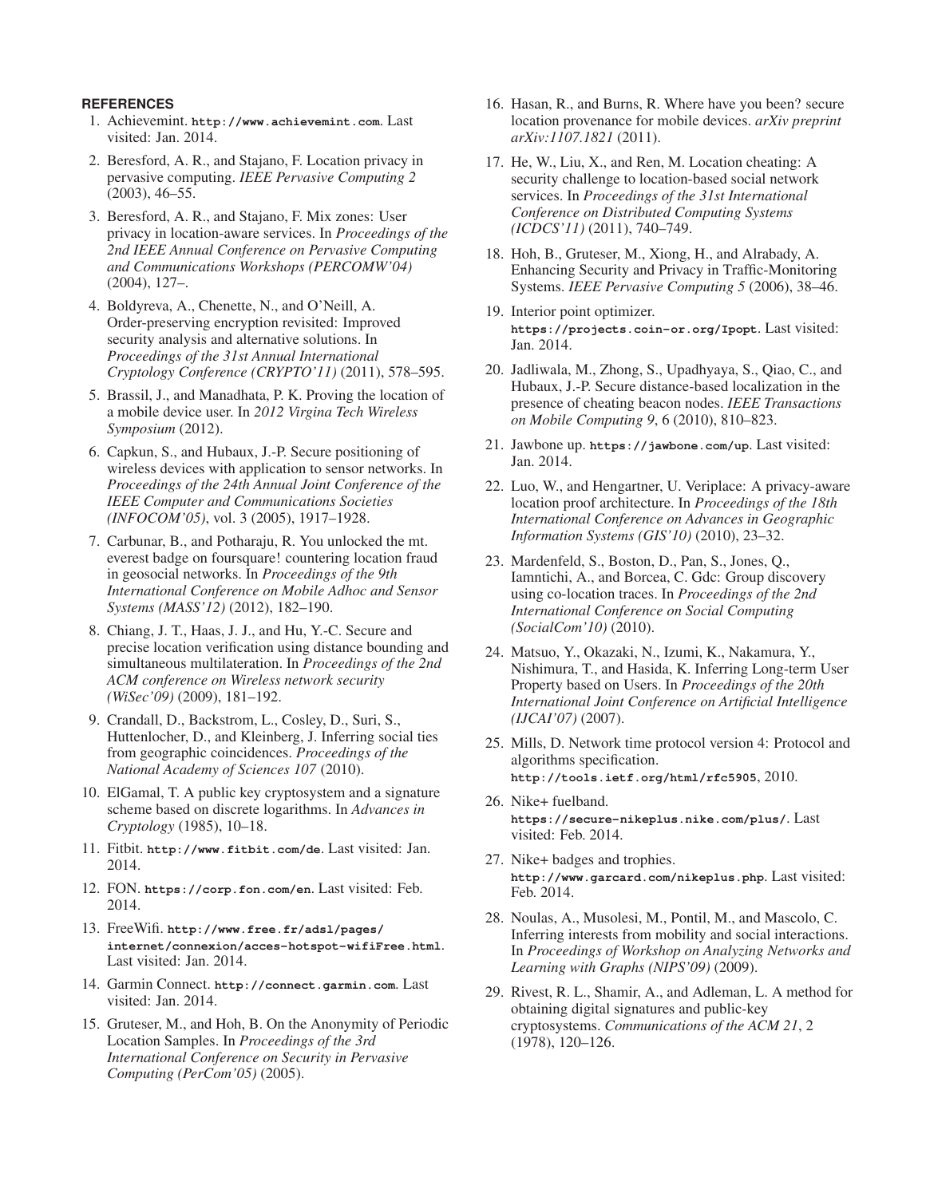# **REFERENCES**

- 1. Achievemint. **http://www.achievemint.com**. Last visited: Jan. 2014.
- 2. Beresford, A. R., and Stajano, F. Location privacy in pervasive computing. *IEEE Pervasive Computing 2*  $(2003)$ , 46–55.
- 3. Beresford, A. R., and Stajano, F. Mix zones: User privacy in location-aware services. In *Proceedings of the 2nd IEEE Annual Conference on Pervasive Computing and Communications Workshops (PERCOMW'04)* (2004), 127–.
- 4. Boldyreva, A., Chenette, N., and O'Neill, A. Order-preserving encryption revisited: Improved security analysis and alternative solutions. In *Proceedings of the 31st Annual International Cryptology Conference (CRYPTO'11)* (2011), 578–595.
- 5. Brassil, J., and Manadhata, P. K. Proving the location of a mobile device user. In *2012 Virgina Tech Wireless Symposium* (2012).
- 6. Capkun, S., and Hubaux, J.-P. Secure positioning of wireless devices with application to sensor networks. In *Proceedings of the 24th Annual Joint Conference of the IEEE Computer and Communications Societies (INFOCOM'05)*, vol. 3 (2005), 1917–1928.
- 7. Carbunar, B., and Potharaju, R. You unlocked the mt. everest badge on foursquare! countering location fraud in geosocial networks. In *Proceedings of the 9th International Conference on Mobile Adhoc and Sensor Systems (MASS'12)* (2012), 182–190.
- 8. Chiang, J. T., Haas, J. J., and Hu, Y.-C. Secure and precise location verification using distance bounding and simultaneous multilateration. In *Proceedings of the 2nd ACM conference on Wireless network security (WiSec'09)* (2009), 181–192.
- 9. Crandall, D., Backstrom, L., Cosley, D., Suri, S., Huttenlocher, D., and Kleinberg, J. Inferring social ties from geographic coincidences. *Proceedings of the National Academy of Sciences 107* (2010).
- 10. ElGamal, T. A public key cryptosystem and a signature scheme based on discrete logarithms. In *Advances in Cryptology* (1985), 10–18.
- 11. Fitbit. **http://www.fitbit.com/de**. Last visited: Jan. 2014.
- 12. FON. **https://corp.fon.com/en**. Last visited: Feb. 2014.
- 13. FreeWifi. **http://www.free.fr/adsl/pages/ internet/connexion/acces-hotspot-wifiFree.html**. Last visited: Jan. 2014.
- 14. Garmin Connect. **http://connect.garmin.com**. Last visited: Jan. 2014.
- 15. Gruteser, M., and Hoh, B. On the Anonymity of Periodic Location Samples. In *Proceedings of the 3rd International Conference on Security in Pervasive Computing (PerCom'05)* (2005).
- 16. Hasan, R., and Burns, R. Where have you been? secure location provenance for mobile devices. *arXiv preprint arXiv:1107.1821* (2011).
- 17. He, W., Liu, X., and Ren, M. Location cheating: A security challenge to location-based social network services. In *Proceedings of the 31st International Conference on Distributed Computing Systems (ICDCS'11)* (2011), 740–749.
- 18. Hoh, B., Gruteser, M., Xiong, H., and Alrabady, A. Enhancing Security and Privacy in Traffic-Monitoring Systems. *IEEE Pervasive Computing 5* (2006), 38–46.
- 19. Interior point optimizer. **https://projects.coin-or.org/Ipopt**. Last visited: Jan. 2014.
- 20. Jadliwala, M., Zhong, S., Upadhyaya, S., Qiao, C., and Hubaux, J.-P. Secure distance-based localization in the presence of cheating beacon nodes. *IEEE Transactions on Mobile Computing 9*, 6 (2010), 810–823.
- 21. Jawbone up. **https://jawbone.com/up**. Last visited: Jan. 2014.
- 22. Luo, W., and Hengartner, U. Veriplace: A privacy-aware location proof architecture. In *Proceedings of the 18th International Conference on Advances in Geographic Information Systems (GIS'10)* (2010), 23–32.
- 23. Mardenfeld, S., Boston, D., Pan, S., Jones, Q., Iamntichi, A., and Borcea, C. Gdc: Group discovery using co-location traces. In *Proceedings of the 2nd International Conference on Social Computing (SocialCom'10)* (2010).
- 24. Matsuo, Y., Okazaki, N., Izumi, K., Nakamura, Y., Nishimura, T., and Hasida, K. Inferring Long-term User Property based on Users. In *Proceedings of the 20th International Joint Conference on Artificial Intelligence (IJCAI'07)* (2007).
- 25. Mills, D. Network time protocol version 4: Protocol and algorithms specification. **http://tools.ietf.org/html/rfc5905**, 2010.
- 26. Nike+ fuelband. **https://secure-nikeplus.nike.com/plus/**. Last visited: Feb. 2014.
- 27. Nike+ badges and trophies. **http://www.garcard.com/nikeplus.php**. Last visited: Feb. 2014.
- 28. Noulas, A., Musolesi, M., Pontil, M., and Mascolo, C. Inferring interests from mobility and social interactions. In *Proceedings of Workshop on Analyzing Networks and Learning with Graphs (NIPS'09)* (2009).
- 29. Rivest, R. L., Shamir, A., and Adleman, L. A method for obtaining digital signatures and public-key cryptosystems. *Communications of the ACM 21*, 2 (1978), 120–126.